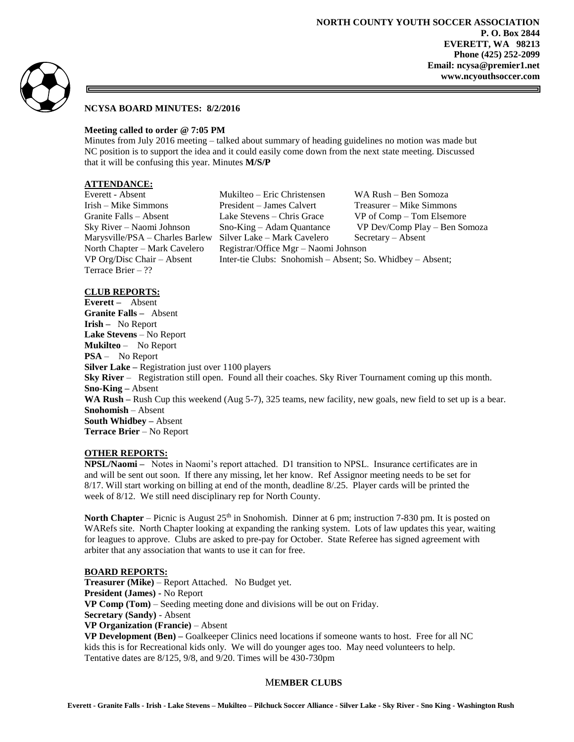

# **NCYSA BOARD MINUTES: 8/2/2016**

# **Meeting called to order @ 7:05 PM**

Minutes from July 2016 meeting – talked about summary of heading guidelines no motion was made but NC position is to support the idea and it could easily come down from the next state meeting. Discussed that it will be confusing this year. Minutes **M/S/P**

# **ATTENDANCE:**

Terrace Brier – ??

Everett - Absent Mukilteo – Eric Christensen WA Rush – Ben Somoza Irish – Mike Simmons President – James Calvert Treasurer – Mike Simmons Granite Falls – Absent Lake Stevens – Chris Grace VP of Comp – Tom Elsemore Sky River – Naomi Johnson Sno-King – Adam Quantance VP Dev/Comp Play – Ben Somoza Marysville/PSA – Charles Barlew Silver Lake – Mark Cavelero Secretary – Absent North Chapter – Mark Cavelero Registrar/Office Mgr – Naomi Johnson VP Org/Disc Chair – Absent Inter-tie Clubs: Snohomish – Absent; So. Whidbey – Absent;

### **CLUB REPORTS:**

**Everett –** Absent **Granite Falls –** Absent **Irish –** No Report **Lake Stevens** – No Report **Mukilteo** – No Report **PSA** – No Report **Silver Lake –** Registration just over 1100 players **Sky River** – Registration still open. Found all their coaches. Sky River Tournament coming up this month. **Sno-King –** Absent **WA Rush –** Rush Cup this weekend (Aug 5-7), 325 teams, new facility, new goals, new field to set up is a bear. **Snohomish** – Absent **South Whidbey –** Absent **Terrace Brier** – No Report

#### **OTHER REPORTS:**

**NPSL/Naomi –** Notes in Naomi's report attached. D1 transition to NPSL. Insurance certificates are in and will be sent out soon. If there any missing, let her know. Ref Assignor meeting needs to be set for 8/17. Will start working on billing at end of the month, deadline 8/.25. Player cards will be printed the week of 8/12. We still need disciplinary rep for North County.

**North Chapter** – Picnic is August 25<sup>th</sup> in Snohomish. Dinner at 6 pm; instruction 7-830 pm. It is posted on WARefs site. North Chapter looking at expanding the ranking system. Lots of law updates this year, waiting for leagues to approve. Clubs are asked to pre-pay for October. State Referee has signed agreement with arbiter that any association that wants to use it can for free.

# **BOARD REPORTS:**

**Treasurer (Mike)** – Report Attached. No Budget yet. **President (James) -** No Report **VP Comp (Tom)** – Seeding meeting done and divisions will be out on Friday. **Secretary (Sandy)** - Absent **VP Organization (Francie)** – Absent **VP Development (Ben) –** Goalkeeper Clinics need locations if someone wants to host. Free for all NC kids this is for Recreational kids only. We will do younger ages too. May need volunteers to help. Tentative dates are 8/125, 9/8, and 9/20. Times will be 430-730pm

# M**EMBER CLUBS**